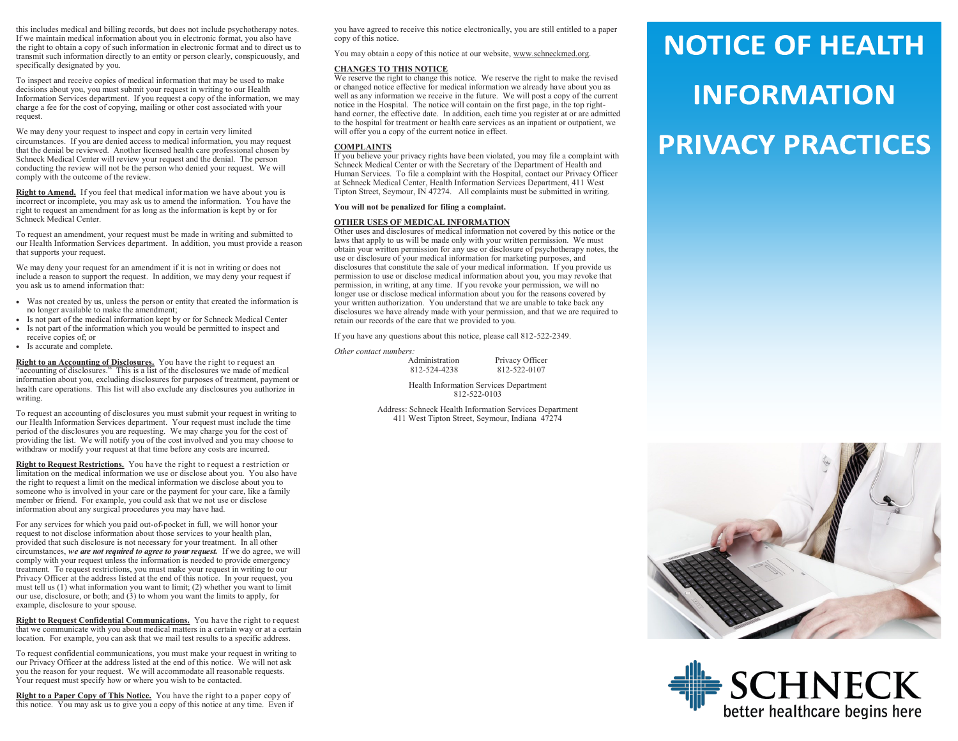this includes medical and billing records, but does not include psychotherapy notes. If we maintain medical information about you in electronic format, you also have the right to obtain a copy of such information in electronic format and to direct us to transmit such information directly to an entity or person clearly, conspicuously, and specifically designated by you.

To inspect and receive copies of medical information that may be used to make decisions about you, you must submit your request in writing to our Health Information Services department. If you request a copy of the information, we may charge a fee for the cost of copying, mailing or other cost associated with your request.

We may deny your request to inspect and copy in certain very limited circumstances. If you are denied access to medical information, you may request that the denial be reviewed. Another licensed health care professional chosen by Schneck Medical Center will review your request and the denial. The person conducting the review will not be the person who denied your request. We will comply with the outcome of the review.

**Right to Amend.** If you feel that medical information we have about you is incorrect or incomplete, you may ask us to amend the information. You have the right to request an amendment for as long as the information is kept by or for Schneck Medical Center.

To request an amendment, your request must be made in writing and submitted to our Health Information Services department. In addition, you must provide a reason that supports your request.

We may deny your request for an amendment if it is not in writing or does not include a reason to support the request. In addition, we may deny your request if you ask us to amend information that:

- Was not created by us, unless the person or entity that created the information is no longer available to make the amendment;
- Is not part of the medical information kept by or for Schneck Medical Center
- Is not part of the information which you would be permitted to inspect and receive copies of; or
- Is accurate and complete.

**Right to an Accounting of Disclosures.** You have the right to request an "accounting of disclosures." This is a list of the disclosures we made of medical information about you, excluding disclosures for purposes of treatment, payment or health care operations. This list will also exclude any disclosures you authorize in writing.

To request an accounting of disclosures you must submit your request in writing to our Health Information Services department. Your request must include the time period of the disclosures you are requesting. We may charge you for the cost of providing the list. We will notify you of the cost involved and you may choose to withdraw or modify your request at that time before any costs are incurred.

**Right to Request Restrictions.** You have the right to request a restriction or limitation on the medical information we use or disclose about you. You also have the right to request a limit on the medical information we disclose about you to someone who is involved in your care or the payment for your care, like a family member or friend. For example, you could ask that we not use or disclose information about any surgical procedures you may have had.

For any services for which you paid out-of-pocket in full, we will honor your request to not disclose information about those services to your health plan, provided that such disclosure is not necessary for your treatment. In all other circumstances, *we are not required to agree to your request.* If we do agree, we will comply with your request unless the information is needed to provide emergency treatment. To request restrictions, you must make your request in writing to our Privacy Officer at the address listed at the end of this notice. In your request, you must tell us (1) what information you want to limit; (2) whether you want to limit our use, disclosure, or both; and  $(3)$  to whom you want the limits to apply, for example, disclosure to your spouse.

**Right to Request Confidential Communications.** You have the right to request that we communicate with you about medical matters in a certain way or at a certain location. For example, you can ask that we mail test results to a specific address.

To request confidential communications, you must make your request in writing to our Privacy Officer at the address listed at the end of this notice. We will not ask you the reason for your request. We will accommodate all reasonable requests. Your request must specify how or where you wish to be contacted.

**Right to a Paper Copy of This Notice.** You have the right to a paper copy of this notice. You may ask us to give you a copy of this notice at any time. Even if you have agreed to receive this notice electronically, you are still entitled to a paper copy of this notice.

You may obtain a copy of this notice at our website, www.schneckmed.org.

## **CHANGES TO THIS NOTICE**

We reserve the right to change this notice. We reserve the right to make the revised or changed notice effective for medical information we already have about you as well as any information we receive in the future. We will post a copy of the current notice in the Hospital. The notice will contain on the first page, in the top righthand corner, the effective date. In addition, each time you register at or are admitted to the hospital for treatment or health care services as an inpatient or outpatient, we will offer you a copy of the current notice in effect.

#### **COMPLAINTS**

If you believe your privacy rights have been violated, you may file a complaint with Schneck Medical Center or with the Secretary of the Department of Health and Human Services. To file a complaint with the Hospital, contact our Privacy Officer at Schneck Medical Center, Health Information Services Department, 411 West Tipton Street, Seymour, IN 47274. All complaints must be submitted in writing.

### **You will not be penalized for filing a complaint.**

#### **OTHER USES OF MEDICAL INFORMATION**

Other uses and disclosures of medical information not covered by this notice or the laws that apply to us will be made only with your written permission. We must obtain your written permission for any use or disclosure of psychotherapy notes, the use or disclosure of your medical information for marketing purposes, and disclosures that constitute the sale of your medical information. If you provide us permission to use or disclose medical information about you, you may revoke that permission, in writing, at any time. If you revoke your permission, we will no longer use or disclose medical information about you for the reasons covered by your written authorization. You understand that we are unable to take back any disclosures we have already made with your permission, and that we are required to retain our records of the care that we provided to you.

If you have any questions about this notice, please call 812-522-2349.

*Other contact numbers:*

Administration Privacy Officer<br>812-524-4238 812-522-0107  $812-522-0107$ 

Health Information Services Department 812-522-0103

Address: Schneck Health Information Services Department 411 West Tipton Street, Seymour, Indiana 47274

# **NOTICE OF HEALTH INFORMATION PRIVACY PRACTICES**